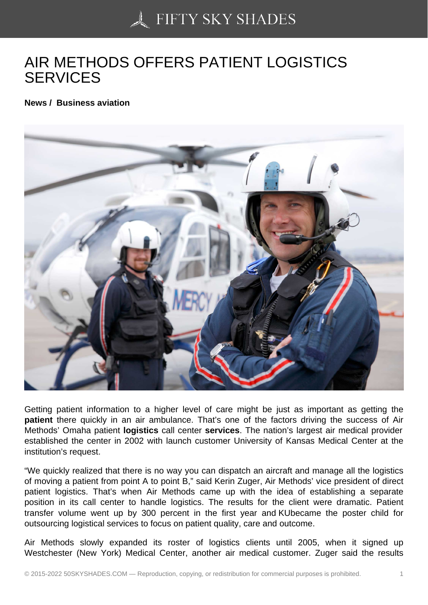## [AIR METHODS OFFER](https://50skyshades.com)S PATIENT LOGISTICS **SERVICES**

News / Business aviation

Getting patient information to a higher level of care might be just as important as getting the patient there quickly in an air ambulance. That's one of the factors driving the success of Air Methods' Omaha patient logistics call center services . The nation's largest air medical provider established the center in 2002 with launch customer University of Kansas Medical Center at the institution's request.

"We quickly realized that there is no way you can dispatch an aircraft and manage all the logistics of moving a patient from point A to point B," said Kerin Zuger, Air Methods' vice president of direct patient logistics. That's when Air Methods came up with the idea of establishing a separate position in its call center to handle logistics. The results for the client were dramatic. Patient transfer volume went up by 300 percent in the first year and KUbecame the poster child for outsourcing logistical services to focus on patient quality, care and outcome.

Air Methods slowly expanded its roster of logistics clients until 2005, when it signed up Westchester (New York) Medical Center, another air medical customer. Zuger said the results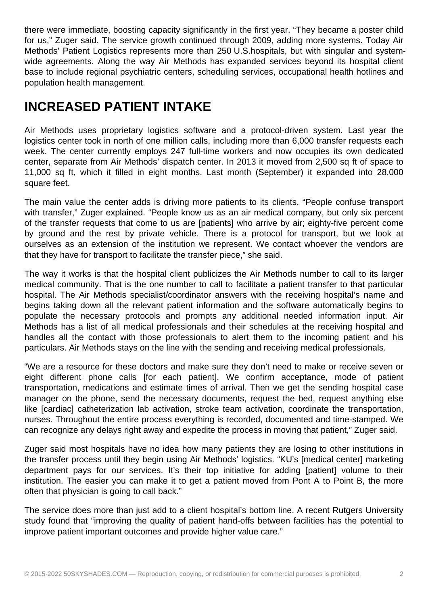there were immediate, boosting capacity significantly in the first year. "They became a poster child for us," Zuger said. The service growth continued through 2009, adding more systems. Today Air Methods' Patient Logistics represents more than 250 U.S.hospitals, but with singular and systemwide agreements. Along the way Air Methods has expanded services beyond its hospital client base to include regional psychiatric centers, scheduling services, occupational health hotlines and population health management.

## **INCREASED PATIENT INTAKE**

Air Methods uses proprietary logistics software and a protocol-driven system. Last year the logistics center took in north of one million calls, including more than 6,000 transfer requests each week. The center currently employs 247 full-time workers and now occupies its own dedicated center, separate from Air Methods' dispatch center. In 2013 it moved from 2,500 sq ft of space to 11,000 sq ft, which it filled in eight months. Last month (September) it expanded into 28,000 square feet.

The main value the center adds is driving more patients to its clients. "People confuse transport with transfer," Zuger explained. "People know us as an air medical company, but only six percent of the transfer requests that come to us are [patients] who arrive by air; eighty-five percent come by ground and the rest by private vehicle. There is a protocol for transport, but we look at ourselves as an extension of the institution we represent. We contact whoever the vendors are that they have for transport to facilitate the transfer piece," she said.

The way it works is that the hospital client publicizes the Air Methods number to call to its larger medical community. That is the one number to call to facilitate a patient transfer to that particular hospital. The Air Methods specialist/coordinator answers with the receiving hospital's name and begins taking down all the relevant patient information and the software automatically begins to populate the necessary protocols and prompts any additional needed information input. Air Methods has a list of all medical professionals and their schedules at the receiving hospital and handles all the contact with those professionals to alert them to the incoming patient and his particulars. Air Methods stays on the line with the sending and receiving medical professionals.

"We are a resource for these doctors and make sure they don't need to make or receive seven or eight different phone calls [for each patient]. We confirm acceptance, mode of patient transportation, medications and estimate times of arrival. Then we get the sending hospital case manager on the phone, send the necessary documents, request the bed, request anything else like [cardiac] catheterization lab activation, stroke team activation, coordinate the transportation, nurses. Throughout the entire process everything is recorded, documented and time-stamped. We can recognize any delays right away and expedite the process in moving that patient," Zuger said.

Zuger said most hospitals have no idea how many patients they are losing to other institutions in the transfer process until they begin using Air Methods' logistics. "KU's [medical center] marketing department pays for our services. It's their top initiative for adding [patient] volume to their institution. The easier you can make it to get a patient moved from Pont A to Point B, the more often that physician is going to call back."

The service does more than just add to a client hospital's bottom line. A recent Rutgers University study found that "improving the quality of patient hand-offs between facilities has the potential to improve patient important outcomes and provide higher value care."